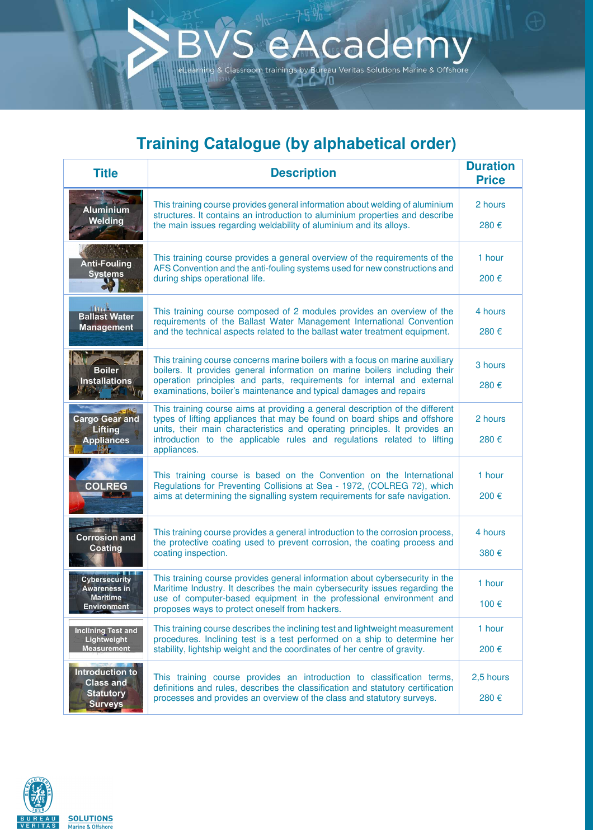## **Training Catalogue (by alphabetical order)**

 $\overline{5}$ 

Academy Vacantes by Bureau Veritas Solutions Marine & Offshore

| <b>Title</b>                                                                         | <b>Description</b>                                                                                                                                                                                                                      | <b>Duration</b><br><b>Price</b> |
|--------------------------------------------------------------------------------------|-----------------------------------------------------------------------------------------------------------------------------------------------------------------------------------------------------------------------------------------|---------------------------------|
| <b>Aluminium</b><br>Welding                                                          | This training course provides general information about welding of aluminium<br>structures. It contains an introduction to aluminium properties and describe<br>the main issues regarding weldability of aluminium and its alloys.      | 2 hours<br>280€                 |
|                                                                                      |                                                                                                                                                                                                                                         |                                 |
| <b>Anti-Fouling</b><br><b>Systems</b>                                                | This training course provides a general overview of the requirements of the<br>AFS Convention and the anti-fouling systems used for new constructions and<br>during ships operational life.                                             | 1 hour                          |
|                                                                                      |                                                                                                                                                                                                                                         | 200€                            |
| $+$ M <sub>18</sub> $\pm$<br><b>Ballast Water</b><br><b>Management</b>               | This training course composed of 2 modules provides an overview of the<br>requirements of the Ballast Water Management International Convention<br>and the technical aspects related to the ballast water treatment equipment.          | 4 hours                         |
|                                                                                      |                                                                                                                                                                                                                                         | 280€                            |
| <b>Boiler</b><br><b>Installations</b>                                                | This training course concerns marine boilers with a focus on marine auxiliary<br>boilers. It provides general information on marine boilers including their                                                                             | 3 hours                         |
|                                                                                      | operation principles and parts, requirements for internal and external<br>examinations, boiler's maintenance and typical damages and repairs                                                                                            | 280€                            |
| <b>Cargo Gear and</b>                                                                | This training course aims at providing a general description of the different<br>types of lifting appliances that may be found on board ships and offshore                                                                              | 2 hours                         |
| <b>Lifting</b><br><b>Appliances</b><br><b>Letter</b>                                 | units, their main characteristics and operating principles. It provides an<br>introduction to the applicable rules and regulations related to lifting<br>appliances.                                                                    | 280€                            |
| <b>COLREG</b>                                                                        | This training course is based on the Convention on the International<br>Regulations for Preventing Collisions at Sea - 1972, (COLREG 72), which<br>aims at determining the signalling system requirements for safe navigation.          | 1 hour                          |
|                                                                                      |                                                                                                                                                                                                                                         | 200€                            |
| <b>Corrosion and</b><br><b>Coating</b>                                               | This training course provides a general introduction to the corrosion process,<br>the protective coating used to prevent corrosion, the coating process and<br>coating inspection.                                                      | 4 hours                         |
|                                                                                      |                                                                                                                                                                                                                                         | 380€                            |
| <b>Cybersecurity</b><br><b>Awareness in</b><br><b>Maritime</b><br><b>Environment</b> | This training course provides general information about cybersecurity in the<br>Maritime Industry. It describes the main cybersecurity issues regarding the                                                                             | 1 hour                          |
|                                                                                      | use of computer-based equipment in the professional environment and<br>proposes ways to protect oneself from hackers.                                                                                                                   | 100€                            |
| <b>Inclining Test and</b><br>Lightweight<br><b>Measurement</b>                       | This training course describes the inclining test and lightweight measurement<br>procedures. Inclining test is a test performed on a ship to determine her<br>stability, lightship weight and the coordinates of her centre of gravity. | 1 hour                          |
|                                                                                      |                                                                                                                                                                                                                                         | 200€                            |
| <b>Introduction to</b><br><b>Class and</b><br><b>Statutory</b><br><b>Surveys</b>     | This training course provides an introduction to classification terms,<br>definitions and rules, describes the classification and statutory certification<br>processes and provides an overview of the class and statutory surveys.     | 2,5 hours                       |
|                                                                                      |                                                                                                                                                                                                                                         | 280€                            |

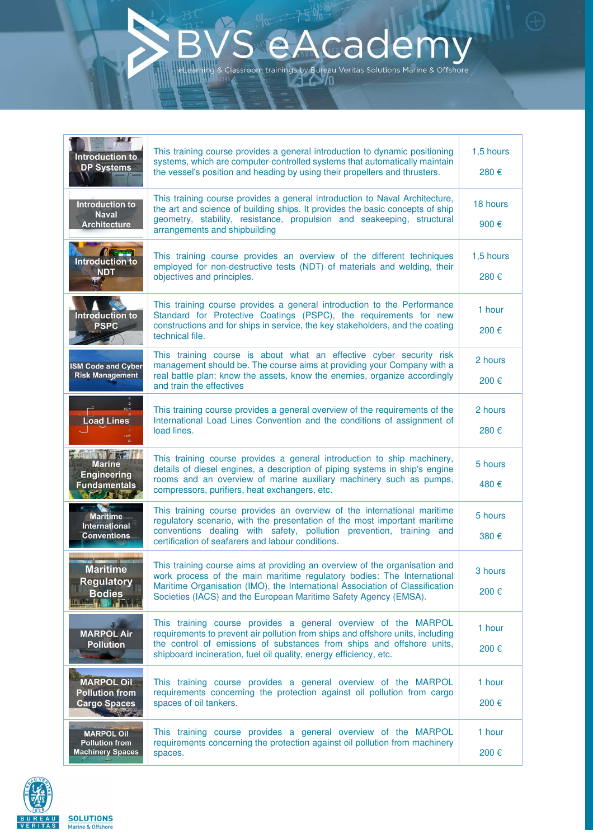## cade assroom trainings by Bureau Veritas Solutions Marine & Offshore

N W L This training course provides a general introduction to dynamic positioning 1,5 hours **Introduction to** systems, which are computer-controlled systems that automatically maintain **DP Systems** the vessel's position and heading by using their propellers and thrusters. 280 € This training course provides a general introduction to Naval Architecture, Introduction to 18 hours the art and science of building ships. It provides the basic concepts of ship **Naval** geometry, stability, resistance, propulsion and seakeeping, structural **Architecture** 900 € arrangements and shipbuilding Introduction to This training course provides an overview of the different techniques 1,5 hours employed for non-destructive tests (NDT) of materials and welding, their **NDT** objectives and principles. 280 € This training course provides a general introduction to the Performance 1 hour Introduction to Standard for Protective Coatings (PSPC), the requirements for new constructions and for ships in service, the key stakeholders, and the coating **PSPC** 200 € technical file. This training course is about what an effective cyber security risk 2 hours management should be. The course aims at providing your Company with a **ISM Code and Cyber Risk Management** real battle plan: know the assets, know the enemies, organize accordingly 200 € and train the effectives This training course provides a general overview of the requirements of the 2 hours **Load Lines** International Load Lines Convention and the conditions of assignment of load lines. 280 € **HAMILA 7 1.547.** This training course provides a general introduction to ship machinery, 5 hours details of diesel engines, a description of piping systems in ship's engine **Engineering** rooms and an overview of marine auxiliary machinery such as pumps, **Fundamentals** 480 € compressors, purifiers, heat exchangers, etc. **BEATING** This training course provides an overview of the international maritime Maritime 5 hours regulatory scenario, with the presentation of the most important maritime International conventions dealing with safety, pollution prevention, training and **Conventions** 380 € certification of seafarers and labour conditions. This training course aims at providing an overview of the organisation and **Maritime** 3 hours work process of the main maritime regulatory bodies: The International **Regulatory** Maritime Organisation (IMO), the International Association of Classification 200 € **Bodies** Societies (IACS) and the European Maritime Safety Agency (EMSA). This training course provides a general overview of the MARPOL 1 hour **MARPOL Air** requirements to prevent air pollution from ships and offshore units, including the control of emissions of substances from ships and offshore units, **Pollution** 200 € shipboard incineration, fuel oil quality, energy efficiency, etc. **MARPOL Oil** This training course provides a general overview of the MARPOL 1 hour **Pollution from** requirements concerning the protection against oil pollution from cargo **Cargo Spaces** spaces of oil tankers. 200 € This training course provides a general overview of the MARPOL 1 hour **MARPOL Oil Pollution from** requirements concerning the protection against oil pollution from machinery **Machinery Spaces** spaces. 200 €

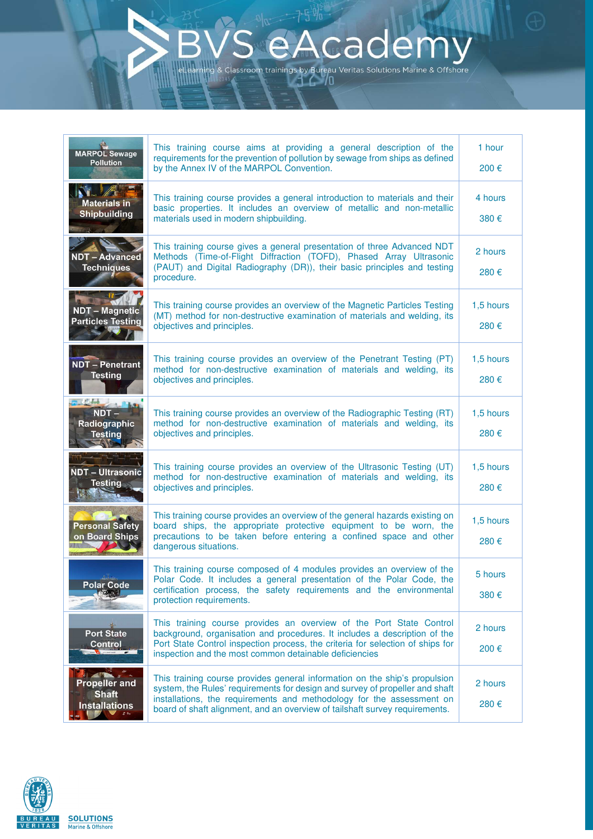## **caden** assroom trainings by Bureau Veritas Solutions Marine & Offshore

This training course aims at providing a general description of the 1 hour **MARPOL Sewage** requirements for the prevention of pollution by sewage from ships as defined **Pollution** by the Annex IV of the MARPOL Convention. 200 € This training course provides a general introduction to materials and their 4 hours **Materials in** basic properties. It includes an overview of metallic and non-metallic **Shipbuilding** materials used in modern shipbuilding. 380 € This training course gives a general presentation of three Advanced NDT 2 hours Methods (Time-of-Flight Diffraction (TOFD), Phased Array Ultrasonic **NDT - Advanced** (PAUT) and Digital Radiography (DR)), their basic principles and testing **Techniques** 280 € procedure. This training course provides an overview of the Magnetic Particles Testing 1,5 hours NDT - Magnetic (MT) method for non-destructive examination of materials and welding, its **Particles Testing** objectives and principles. 280 € This training course provides an overview of the Penetrant Testing (PT) 1,5 hours **NDT** - Penetrant method for non-destructive examination of materials and welding, its **Testing** objectives and principles. 280 € NDT-This training course provides an overview of the Radiographic Testing (RT) 1,5 hours method for non-destructive examination of materials and welding, its Radiographic **Testing** objectives and principles. 280 € This training course provides an overview of the Ultrasonic Testing (UT) 1,5 hours **NDT** – Ultrasonic method for non-destructive examination of materials and welding, its **Testing** objectives and principles. 280 € This training course provides an overview of the general hazards existing on 1,5 hours **Personal Safety** board ships, the appropriate protective equipment to be worn, the on Board Ships precautions to be taken before entering a confined space and other 280 € dangerous situations. This training course composed of 4 modules provides an overview of the 5 hours Polar Code. It includes a general presentation of the Polar Code, the **Polar Code** certification process, the safety requirements and the environmental 380 € protection requirements. This training course provides an overview of the Port State Control 2 hours **Port State** background, organisation and procedures. It includes a description of the **Control** Port State Control inspection process, the criteria for selection of ships for 200 € inspection and the most common detainable deficiencies This training course provides general information on the ship's propulsion **Propeller** and 2 hours system, the Rules' requirements for design and survey of propeller and shaft **Shaft** installations, the requirements and methodology for the assessment on 280 € **Installations** board of shaft alignment, and an overview of tailshaft survey requirements.